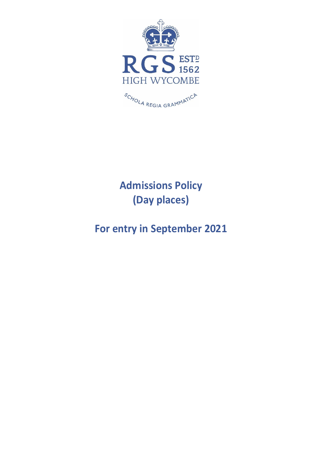

SCHOLA REGIA GRAMMATICA

# **Admissions Policy (Day places)**

## **For entry in September 2021**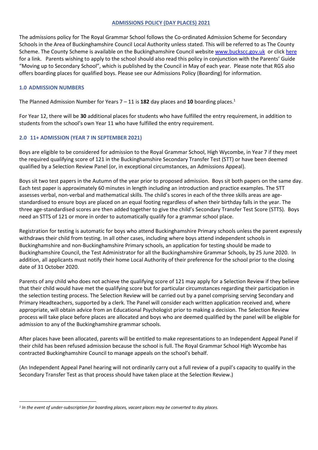#### **ADMISSIONS POLICY (DAY PLACES) 2021**

The admissions policy for The Royal Grammar School follows the Co-ordinated Admission Scheme for Secondary Schools in the Area of Buckinghamshire Council Local Authority unless stated. This will be referred to as The County Scheme. The County Scheme is available on the Buckinghamshire Council websit[e www.buckscc.gov.uk](http://www.buckscc.gov.uk/) or click [here](https://www.buckscc.gov.uk/services/education/school-admissions/moving-up-to-secondary-school/) for a link. Parents wishing to apply to the school should also read this policy in conjunction with the Parents' Guide "Moving up to Secondary School", which is published by the Council in May of each year. Please note that RGS also offers boarding places for qualified boys. Please see our Admissions Policy (Boarding) for information.

#### **1.0 ADMISSION NUMBERS**

1

The Planned Admission Number for Years 7 – 11 is **182** day places and **10** boarding places. 1

For Year 12, there will be **30** additional places for students who have fulfilled the entry requirement, in addition to students from the school's own Year 11 who have fulfilled the entry requirement.

### **2.0 11+ ADMISSION (YEAR 7 IN SEPTEMBER 2021)**

Boys are eligible to be considered for admission to the Royal Grammar School, High Wycombe, in Year 7 if they meet the required qualifying score of 121 in the Buckinghamshire Secondary Transfer Test (STT) or have been deemed qualified by a Selection Review Panel (or, in exceptional circumstances, an Admissions Appeal).

Boys sit two test papers in the Autumn of the year prior to proposed admission. Boys sit both papers on the same day. Each test paper is approximately 60 minutes in length including an introduction and practice examples. The STT assesses verbal, non-verbal and mathematical skills. The child's scores in each of the three skills areas are agestandardised to ensure boys are placed on an equal footing regardless of when their birthday falls in the year. The three age-standardised scores are then added together to give the child's Secondary Transfer Test Score (STTS). Boys need an STTS of 121 or more in order to automatically qualify for a grammar school place.

Registration for testing is automatic for boys who attend Buckinghamshire Primary schools unless the parent expressly withdraws their child from testing. In all other cases, including where boys attend independent schools in Buckinghamshire and non-Buckinghamshire Primary schools, an application for testing should be made to Buckinghamshire Council, the Test Administrator for all the Buckinghamshire Grammar Schools, by 25 June 2020. In addition, all applicants must notify their home Local Authority of their preference for the school prior to the closing date of 31 October 2020.

Parents of any child who does not achieve the qualifying score of 121 may apply for a Selection Review if they believe that their child would have met the qualifying score but for particular circumstances regarding their participation in the selection testing process. The Selection Review will be carried out by a panel comprising serving Secondary and Primary Headteachers, supported by a clerk. The Panel will consider each written application received and, where appropriate, will obtain advice from an Educational Psychologist prior to making a decision. The Selection Review process will take place before places are allocated and boys who are deemed qualified by the panel will be eligible for admission to any of the Buckinghamshire grammar schools.

After places have been allocated, parents will be entitled to make representations to an Independent Appeal Panel if their child has been refused admission because the school is full. The Royal Grammar School High Wycombe has contracted Buckinghamshire Council to manage appeals on the school's behalf.

(An Independent Appeal Panel hearing will not ordinarily carry out a full review of a pupil's capacity to qualify in the Secondary Transfer Test as that process should have taken place at the Selection Review.)

*<sup>1</sup> In the event of under-subscription for boarding places, vacant places may be converted to day places.*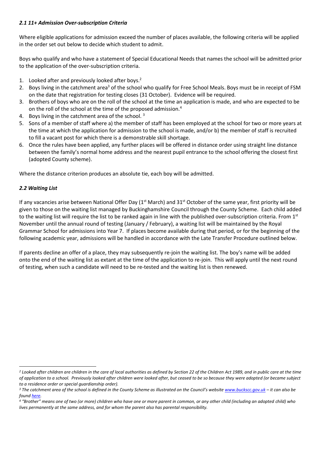#### *2.1 11+ Admission Over-subscription Criteria*

Where eligible applications for admission exceed the number of places available, the following criteria will be applied in the order set out below to decide which student to admit.

Boys who qualify and who have a statement of Special Educational Needs that names the school will be admitted prior to the application of the over-subscription criteria.

- 1. Looked after and previously looked after boys.<sup>2</sup>
- 2. Boys living in the catchment area<sup>3</sup> of the school who qualify for Free School Meals. Boys must be in receipt of FSM on the date that registration for testing closes (31 October). Evidence will be required.
- 3. Brothers of boys who are on the roll of the school at the time an application is made, and who are expected to be on the roll of the school at the time of the proposed admission.<sup>4</sup>
- 4. Boys living in the catchment area of the school.  $3$
- 5. Sons of a member of staff where a) the member of staff has been employed at the school for two or more years at the time at which the application for admission to the school is made, and/or b) the member of staff is recruited to fill a vacant post for which there is a demonstrable skill shortage.
- 6. Once the rules have been applied, any further places will be offered in distance order using straight line distance between the family's normal home address and the nearest pupil entrance to the school offering the closest first (adopted County scheme).

Where the distance criterion produces an absolute tie, each boy will be admitted.

#### *2.2 Waiting List*

 $\overline{a}$ 

If any vacancies arise between National Offer Day ( $1<sup>st</sup>$  March) and 31<sup>st</sup> October of the same year, first priority will be given to those on the waiting list managed by Buckinghamshire Council through the County Scheme. Each child added to the waiting list will require the list to be ranked again in line with the published over-subscription criteria. From 1st November until the annual round of testing (January / February), a waiting list will be maintained by the Royal Grammar School for admissions into Year 7. If places become available during that period, or for the beginning of the following academic year, admissions will be handled in accordance with the Late Transfer Procedure outlined below.

If parents decline an offer of a place, they may subsequently re-join the waiting list. The boy's name will be added onto the end of the waiting list as extant at the time of the application to re-join. This will apply until the next round of testing, when such a candidate will need to be re-tested and the waiting list is then renewed.

*<sup>2</sup> Looked after children are children in the care of local authorities as defined by Section 22 of the Children Act 1989, and in public care at the time of application to a school. Previously looked after children were looked after, but ceased to be so because they were adopted (or became subject to a residence order or special guardianship order).*

*<sup>3</sup> The catchment area of the school is defined in the County Scheme as illustrated on the Council's website [www.buckscc.gov.uk](http://www.buckscc.gov.uk/) – it can also be found [here.](http://rgshw.com/userfiles/rgshw/Royal_Grammar_School_catchment_2017.pd)*

*<sup>4</sup> "Brother" means one of two (or more) children who have one or more parent in common, or any other child (including an adopted child) who lives permanently at the same address, and for whom the parent also has parental responsibility.*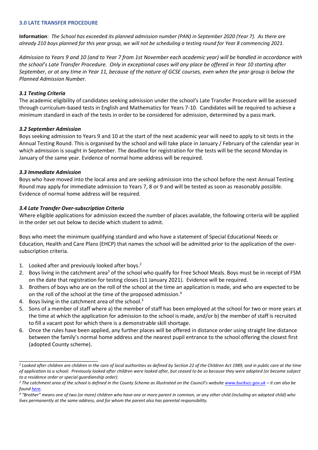#### **3.0 LATE TRANSFER PROCEDURE**

**Information**: *The School has exceeded its planned admission number (PAN) in September 2020 (Year 7). As there are already 210 boys planned for this year group, we will not be scheduling a testing round for Year 8 commencing 2021.*

*Admission to Years 9 and 10 (and to Year 7 from 1st November each academic year) will be handled in accordance with the school's Late Transfer Procedure. Only in exceptional cases will any place be offered in Year 10 starting after September, or at any time in Year 11, because of the nature of GCSE courses, even when the year group is below the Planned Admission Number.*

#### *3.1 Testing Criteria*

The academic eligibility of candidates seeking admission under the school's Late Transfer Procedure will be assessed through curriculum-based tests in English and Mathematics for Years 7-10. Candidates will be required to achieve a minimum standard in each of the tests in order to be considered for admission, determined by a pass mark.

#### *3.2 September Admission*

Boys seeking admission to Years 9 and 10 at the start of the next academic year will need to apply to sit tests in the Annual Testing Round. This is organised by the school and will take place in January / February of the calendar year in which admission is sought in September. The deadline for registration for the tests will be the second Monday in January of the same year. Evidence of normal home address will be required.

#### *3.3 Immediate Admission*

Boys who have moved into the local area and are seeking admission into the school before the next Annual Testing Round may apply for immediate admission to Years 7, 8 or 9 and will be tested as soon as reasonably possible. Evidence of normal home address will be required.

#### *3.4 Late Transfer Over-subscription Criteria*

Where eligible applications for admission exceed the number of places available, the following criteria will be applied in the order set out below to decide which student to admit.

Boys who meet the minimum qualifying standard and who have a statement of Special Educational Needs or Education, Health and Care Plans (EHCP) that names the school will be admitted prior to the application of the oversubscription criteria.

- 1. Looked after and previously looked after boys.<sup>2</sup>
- 2. Boys living in the catchment area<sup>3</sup> of the school who qualify for Free School Meals. Boys must be in receipt of FSM on the date that registration for testing closes (11 January 2021). Evidence will be required.
- 3. Brothers of boys who are on the roll of the school at the time an application is made, and who are expected to be on the roll of the school at the time of the proposed admission.<sup>4</sup>
- 4. Boys living in the catchment area of the school.<sup>3</sup>

\_\_\_\_\_\_\_\_\_\_\_\_\_\_\_\_\_\_\_\_\_\_\_\_\_\_\_

- 5. Sons of a member of staff where a) the member of staff has been employed at the school for two or more years at the time at which the application for admission to the school is made, and/or b) the member of staff is recruited to fill a vacant post for which there is a demonstrable skill shortage.
- 6. Once the rules have been applied, any further places will be offered in distance order using straight line distance between the family's normal home address and the nearest pupil entrance to the school offering the closest first (adopted County scheme).

*<sup>2</sup> Looked after children are children in the care of local authorities as defined by Section 22 of the Children Act 1989, and in public care at the time of application to a school. Previously looked after children were looked after, but ceased to be so because they were adopted (or became subject to a residence order or special guardianship order).*

*<sup>3</sup> The catchment area of the school is defined in the County Scheme as illustrated on the Council's website [www.buckscc.gov.uk](http://www.buckscc.gov.uk/) – it can also be found [here.](http://rgshw.com/userfiles/rgshw/Royal_Grammar_School_catchment_2017.pd)*

*<sup>4</sup> "Brother" means one of two (or more) children who have one or more parent in common, or any other child (including an adopted child) who lives permanently at the same address, and for whom the parent also has parental responsibility.*